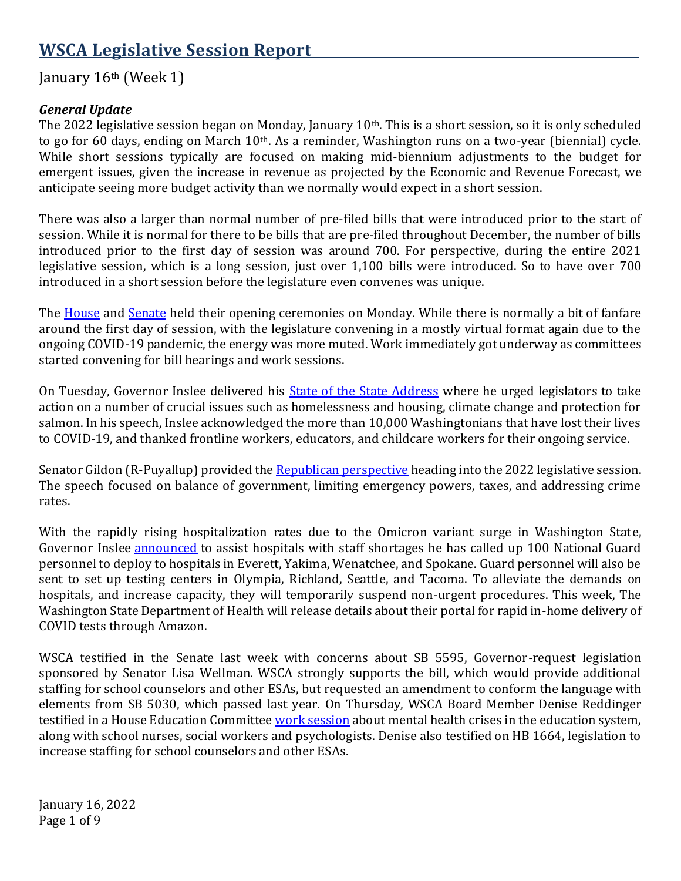# **WSCA Legislative Session Report**

# January 16<sup>th</sup> (Week 1)

#### *General Update*

The 2022 legislative session began on Monday, January 10<sup>th</sup>. This is a short session, so it is only scheduled to go for 60 days, ending on March 10<sup>th</sup>. As a reminder, Washington runs on a two-year (biennial) cycle. While short sessions typically are focused on making mid-biennium adjustments to the budget for emergent issues, given the increase in revenue as projected by the Economic and Revenue Forecast, we anticipate seeing more budget activity than we normally would expect in a short session.

There was also a larger than normal number of pre-filed bills that were introduced prior to the start of session. While it is normal for there to be bills that are pre-filed throughout December, the number of bills introduced prior to the first day of session was around 700. For perspective, during the entire 2021 legislative session, which is a long session, just over 1,100 bills were introduced. So to have over 700 introduced in a short session before the legislature even convenes was unique.

The [House](https://www.youtube.com/watch?v=yC8bGLH_a4M) and [Senate](https://www.youtube.com/watch?v=xtFSY1ixlto) held their opening ceremonies on Monday. While there is normally a bit of fanfare around the first day of session, with the legislature convening in a mostly virtual format again due to the ongoing COVID-19 pandemic, the energy was more muted. Work immediately got underway as committees started convening for bill hearings and work sessions.

On Tuesday, Governor Inslee delivered his **State of the State Address** where he urged legislators to take action on a number of crucial issues such as homelessness and housing, climate change and protection for salmon. In his speech, Inslee acknowledged the more than 10,000 Washingtonians that have lost their lives to COVID-19, and thanked frontline workers, educators, and childcare workers for their ongoing service.

Senator Gildon (R-Puyallup) provided th[e Republican perspective](https://tvw.org/video/legislative-republican-perspective-2022011131/?eventID=2022011131) heading into the 2022 legislative session. The speech focused on balance of government, limiting emergency powers, taxes, and addressing crime rates.

With the rapidly rising hospitalization rates due to the Omicron variant surge in Washington State, Governor Inslee [announced](https://tvw.org/video/governor-jay-inslee-press-conference-2022011079/?eventID=2022011079) to assist hospitals with staff shortages he has called up 100 National Guard personnel to deploy to hospitals in Everett, Yakima, Wenatchee, and Spokane. Guard personnel will also be sent to set up testing centers in Olympia, Richland, Seattle, and Tacoma. To alleviate the demands on hospitals, and increase capacity, they will temporarily suspend non-urgent procedures. This week, The Washington State Department of Health will release details about their portal for rapid in-home delivery of COVID tests through Amazon.

WSCA testified in the Senate last week with concerns about SB 5595, Governor-request legislation sponsored by Senator Lisa Wellman. WSCA strongly supports the bill, which would provide additional staffing for school counselors and other ESAs, but requested an amendment to conform the language with elements from SB 5030, which passed last year. On Thursday, WSCA Board Member Denise Reddinger testified in a House Education Committee [work session](https://youtu.be/zbIojDoK9l4) about mental health crises in the education system, along with school nurses, social workers and psychologists. Denise also testified on HB 1664, legislation to increase staffing for school counselors and other ESAs.

January 16, 2022 Page 1 of 9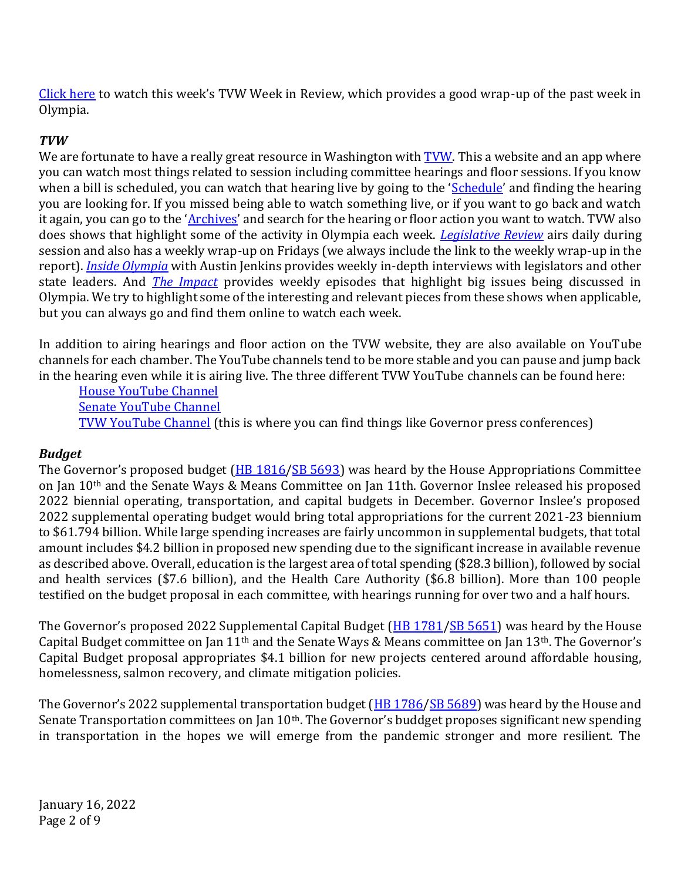[Click here](https://tvw.org/video/legislative-review-january-10-14-2022011078/) to watch this week's TVW Week in Review, which provides a good wrap-up of the past week in Olympia.

### *TVW*

We are fortunate to have a really great resource in Washington with **TVW**. This a website and an app where you can watch most things related to session including committee hearings and floor sessions. If you know when a bill is scheduled, you can watch that hearing live by going to the '*[Schedule](https://www.tvw.org/schedule-main/)'* and finding the hearing you are looking for. If you missed being able to watch something live, or if you want to go back and watch it again, you can go to the '*[Archives](https://www.tvw.org/archives/)'* and search for the hearing or floor action you want to watch. TVW also does shows that highlight some of the activity in Olympia each week. *[Legislative Review](https://www.tvw.org/shows/legislative-review/)* airs daily during session and also has a weekly wrap-up on Fridays (we always include the link to the weekly wrap-up in the report). *[Inside Olympia](https://www.tvw.org/shows/inside-olympia/)* with Austin Jenkins provides weekly in-depth interviews with legislators and other state leaders. And *[The Impact](https://www.tvw.org/shows/the-impact/)* provides weekly episodes that highlight big issues being discussed in Olympia. We try to highlight some of the interesting and relevant pieces from these shows when applicable, but you can always go and find them online to watch each week.

In addition to airing hearings and floor action on the TVW website, they are also available on YouTube channels for each chamber. The YouTube channels tend to be more stable and you can pause and jump back in the hearing even while it is airing live. The three different TVW YouTube channels can be found here:

[House YouTube Channel](https://www.youtube.com/channel/UCWzXAtZ80AI1C_6gK03fxbA) [Senate YouTube Channel](https://www.youtube.com/channel/UCiVrGWNGbboyx_uFP0nmvIg) [TVW YouTube Channel](https://www.youtube.com/c/TVW_Washington) (this is where you can find things like Governor press conferences)

#### *Budget*

The Governor's proposed budget ([HB 1816](https://app.leg.wa.gov/billsummary?BillNumber=1816&Initiative=false&Year=2021)[/SB 5693\)](https://app.leg.wa.gov/billsummary?BillNumber=5693&Chamber=Senate&Year=2021) was heard by the House Appropriations Committee on Jan 10th and the Senate Ways & Means Committee on Jan 11th. Governor Inslee released his proposed 2022 biennial operating, transportation, and capital budgets in December. Governor Inslee's proposed 2022 supplemental operating budget would bring total appropriations for the current 2021-23 biennium to \$61.794 billion. While large spending increases are fairly uncommon in supplemental budgets, that total amount includes \$4.2 billion in proposed new spending due to the significant increase in available revenue as described above. Overall, education is the largest area of total spending (\$28.3 billion), followed by social and health services (\$7.6 billion), and the Health Care Authority (\$6.8 billion). More than 100 people testified on the budget proposal in each committee, with hearings running for over two and a half hours.

The Governor's proposed 2022 Supplemental Capital Budget ([HB 1781](https://app.leg.wa.gov/billsummary?BillNumber=1781&Initiative=false&Year=2021)[/SB 5651\)](https://app.leg.wa.gov/billsummary?BillNumber=5651&Chamber=Senate&Year=2021) was heard by the House Capital Budget committee on Jan 11th and the Senate Ways & Means committee on Jan 13th. The Governor's Capital Budget proposal appropriates \$4.1 billion for new projects centered around affordable housing, homelessness, salmon recovery, and climate mitigation policies.

The Governor's 2022 supplemental transportation budget ([HB 1786](https://app.leg.wa.gov/billsummary?BillNumber=1786&Initiative=false&Year=2021)[/SB 5689\)](https://app.leg.wa.gov/billsummary?BillNumber=5689&Chamber=Senate&Year=2021) was heard by the House and Senate Transportation committees on Jan 10<sup>th</sup>. The Governor's buddget proposes significant new spending in transportation in the hopes we will emerge from the pandemic stronger and more resilient. The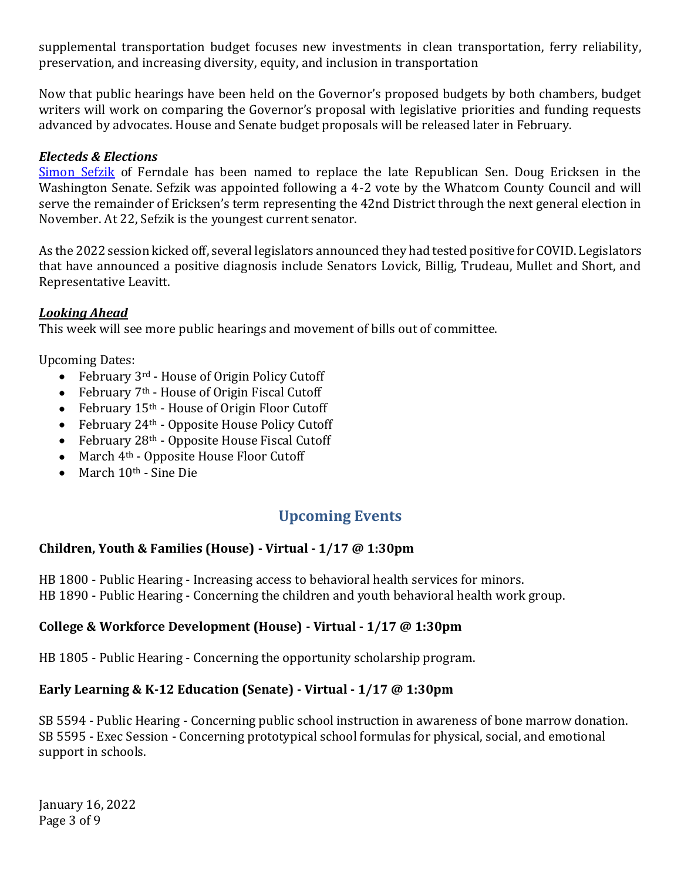supplemental transportation budget focuses new investments in clean transportation, ferry reliability, preservation, and increasing diversity, equity, and inclusion in transportation

Now that public hearings have been held on the Governor's proposed budgets by both chambers, budget writers will work on comparing the Governor's proposal with legislative priorities and funding requests advanced by advocates. House and Senate budget proposals will be released later in February.

#### *Electeds & Elections*

[Simon Sefzik](https://www.seattletimes.com/seattle-news/sim-sefzik-recent-college-grad-replaces-late-sen-doug-ericksen-in-washington-state-legislature/) of Ferndale has been named to replace the late Republican Sen. Doug Ericksen in the Washington Senate. Sefzik was appointed following a 4-2 vote by the Whatcom County Council and will serve the remainder of Ericksen's term representing the 42nd District through the next general election in November. At 22, Sefzik is the youngest current senator.

As the 2022 session kicked off, several legislators announced they had tested positive for COVID. Legislators that have announced a positive diagnosis include Senators Lovick, Billig, Trudeau, Mullet and Short, and Representative Leavitt.

#### *Looking Ahead*

This week will see more public hearings and movement of bills out of committee.

Upcoming Dates:

- February 3<sup>rd</sup> House of Origin Policy Cutoff
- February 7<sup>th</sup> House of Origin Fiscal Cutoff
- February 15<sup>th</sup> House of Origin Floor Cutoff
- February  $24<sup>th</sup>$  Opposite House Policy Cutoff
- February  $28<sup>th</sup>$  Opposite House Fiscal Cutoff
- March 4<sup>th</sup> Opposite House Floor Cutoff
- March  $10<sup>th</sup>$  Sine Die

# **Upcoming Events**

#### **Children, Youth & Families (House) - Virtual - 1/17 @ 1:30pm**

HB 1800 - Public Hearing - Increasing access to behavioral health services for minors. HB 1890 - Public Hearing - Concerning the children and youth behavioral health work group.

# **College & Workforce Development (House) - Virtual - 1/17 @ 1:30pm**

HB 1805 - Public Hearing - Concerning the opportunity scholarship program.

#### **Early Learning & K-12 Education (Senate) - Virtual - 1/17 @ 1:30pm**

SB 5594 - Public Hearing - Concerning public school instruction in awareness of bone marrow donation. SB 5595 - Exec Session - Concerning prototypical school formulas for physical, social, and emotional support in schools.

January 16, 2022 Page 3 of 9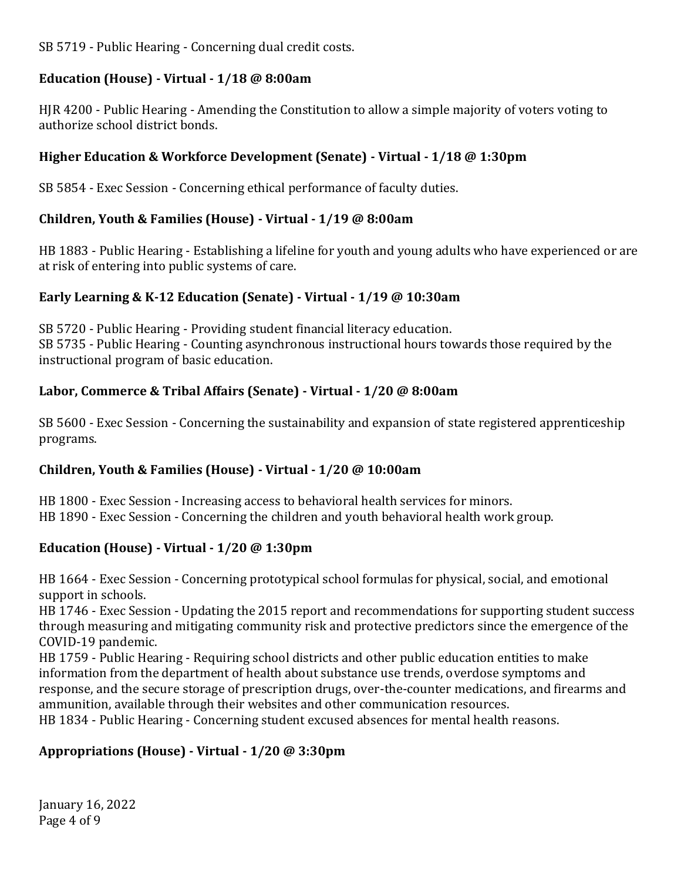SB 5719 - Public Hearing - Concerning dual credit costs.

#### **Education (House) - Virtual - 1/18 @ 8:00am**

HJR 4200 - Public Hearing - Amending the Constitution to allow a simple majority of voters voting to authorize school district bonds.

#### **Higher Education & Workforce Development (Senate) - Virtual - 1/18 @ 1:30pm**

SB 5854 - Exec Session - Concerning ethical performance of faculty duties.

### **Children, Youth & Families (House) - Virtual - 1/19 @ 8:00am**

HB 1883 - Public Hearing - Establishing a lifeline for youth and young adults who have experienced or are at risk of entering into public systems of care.

### **Early Learning & K-12 Education (Senate) - Virtual - 1/19 @ 10:30am**

SB 5720 - Public Hearing - Providing student financial literacy education. SB 5735 - Public Hearing - Counting asynchronous instructional hours towards those required by the instructional program of basic education.

### **Labor, Commerce & Tribal Affairs (Senate) - Virtual - 1/20 @ 8:00am**

SB 5600 - Exec Session - Concerning the sustainability and expansion of state registered apprenticeship programs.

# **Children, Youth & Families (House) - Virtual - 1/20 @ 10:00am**

HB 1800 - Exec Session - Increasing access to behavioral health services for minors. HB 1890 - Exec Session - Concerning the children and youth behavioral health work group.

# **Education (House) - Virtual - 1/20 @ 1:30pm**

HB 1664 - Exec Session - Concerning prototypical school formulas for physical, social, and emotional support in schools.

HB 1746 - Exec Session - Updating the 2015 report and recommendations for supporting student success through measuring and mitigating community risk and protective predictors since the emergence of the COVID-19 pandemic.

HB 1759 - Public Hearing - Requiring school districts and other public education entities to make information from the department of health about substance use trends, overdose symptoms and response, and the secure storage of prescription drugs, over-the-counter medications, and firearms and ammunition, available through their websites and other communication resources.

HB 1834 - Public Hearing - Concerning student excused absences for mental health reasons.

#### **Appropriations (House) - Virtual - 1/20 @ 3:30pm**

January 16, 2022 Page 4 of 9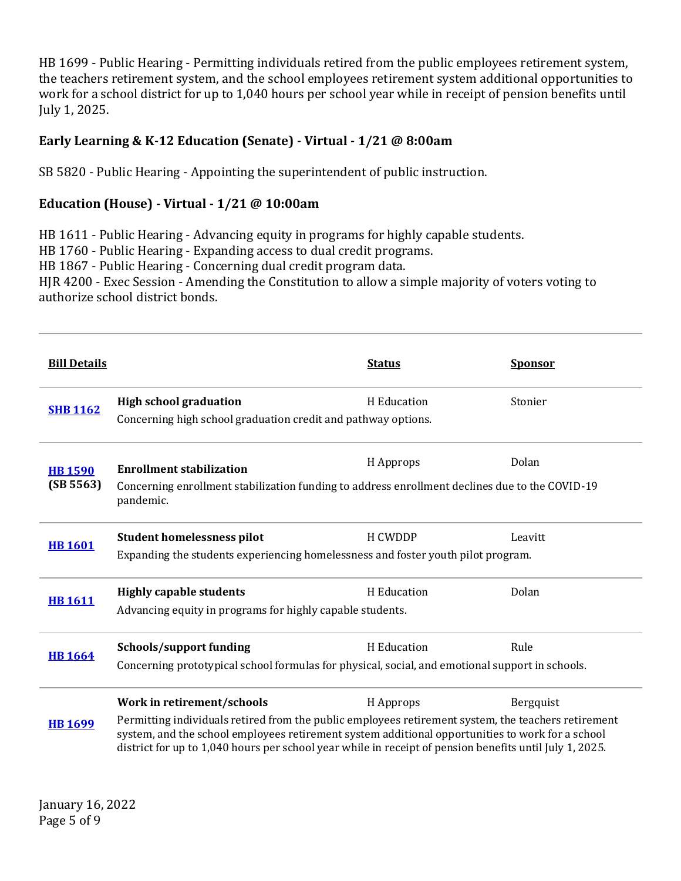HB 1699 - Public Hearing - Permitting individuals retired from the public employees retirement system, the teachers retirement system, and the school employees retirement system additional opportunities to work for a school district for up to 1,040 hours per school year while in receipt of pension benefits until July 1, 2025.

### **Early Learning & K-12 Education (Senate) - Virtual - 1/21 @ 8:00am**

SB 5820 - Public Hearing - Appointing the superintendent of public instruction.

#### **Education (House) - Virtual - 1/21 @ 10:00am**

HB 1611 - Public Hearing - Advancing equity in programs for highly capable students. HB 1760 - Public Hearing - Expanding access to dual credit programs. HB 1867 - Public Hearing - Concerning dual credit program data. HJR 4200 - Exec Session - Amending the Constitution to allow a simple majority of voters voting to authorize school district bonds.

| <b>Bill Details</b>         |                                                                                                                                                                                                                                                                                                                                                  | <b>Status</b> | <b>Sponsor</b> |
|-----------------------------|--------------------------------------------------------------------------------------------------------------------------------------------------------------------------------------------------------------------------------------------------------------------------------------------------------------------------------------------------|---------------|----------------|
| <b>SHB 1162</b>             | <b>High school graduation</b><br>Concerning high school graduation credit and pathway options.                                                                                                                                                                                                                                                   | H Education   | Stonier        |
| <b>HB 1590</b><br>(SB 5563) | <b>Enrollment stabilization</b><br>Concerning enrollment stabilization funding to address enrollment declines due to the COVID-19<br>pandemic.                                                                                                                                                                                                   | H Approps     | Dolan          |
| <b>HB 1601</b>              | <b>Student homelessness pilot</b><br>Expanding the students experiencing homelessness and foster youth pilot program.                                                                                                                                                                                                                            | H CWDDP       | Leavitt        |
| <b>HB</b> 1611              | <b>Highly capable students</b><br>Advancing equity in programs for highly capable students.                                                                                                                                                                                                                                                      | H Education   | Dolan          |
| <b>HB</b> 1664              | <b>Schools/support funding</b><br>Concerning prototypical school formulas for physical, social, and emotional support in schools.                                                                                                                                                                                                                | H Education   | Rule           |
| <b>HB 1699</b>              | Work in retirement/schools<br>Permitting individuals retired from the public employees retirement system, the teachers retirement<br>system, and the school employees retirement system additional opportunities to work for a school<br>district for up to 1,040 hours per school year while in receipt of pension benefits until July 1, 2025. | H Approps     | Bergquist      |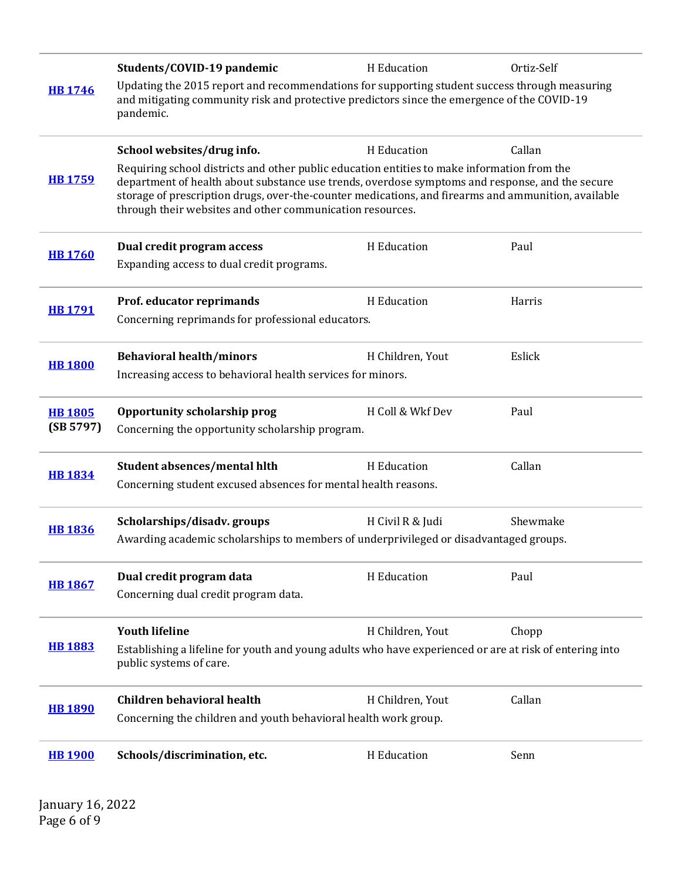|                | Students/COVID-19 pandemic                                                                                                                                                                                                                                                                                                                                         | H Education      | Ortiz-Self |  |
|----------------|--------------------------------------------------------------------------------------------------------------------------------------------------------------------------------------------------------------------------------------------------------------------------------------------------------------------------------------------------------------------|------------------|------------|--|
| <b>HB 1746</b> | Updating the 2015 report and recommendations for supporting student success through measuring<br>and mitigating community risk and protective predictors since the emergence of the COVID-19<br>pandemic.                                                                                                                                                          |                  |            |  |
|                | School websites/drug info.                                                                                                                                                                                                                                                                                                                                         | H Education      | Callan     |  |
| <b>HB1759</b>  | Requiring school districts and other public education entities to make information from the<br>department of health about substance use trends, overdose symptoms and response, and the secure<br>storage of prescription drugs, over-the-counter medications, and firearms and ammunition, available<br>through their websites and other communication resources. |                  |            |  |
| <b>HB 1760</b> | Dual credit program access                                                                                                                                                                                                                                                                                                                                         | H Education      | Paul       |  |
|                | Expanding access to dual credit programs.                                                                                                                                                                                                                                                                                                                          |                  |            |  |
| <b>HB 1791</b> | Prof. educator reprimands                                                                                                                                                                                                                                                                                                                                          | H Education      | Harris     |  |
|                | Concerning reprimands for professional educators.                                                                                                                                                                                                                                                                                                                  |                  |            |  |
| <b>HB 1800</b> | <b>Behavioral health/minors</b>                                                                                                                                                                                                                                                                                                                                    | H Children, Yout | Eslick     |  |
|                | Increasing access to behavioral health services for minors.                                                                                                                                                                                                                                                                                                        |                  |            |  |
| <b>HB 1805</b> | Opportunity scholarship prog                                                                                                                                                                                                                                                                                                                                       | H Coll & Wkf Dev | Paul       |  |
| (SB 5797)      | Concerning the opportunity scholarship program.                                                                                                                                                                                                                                                                                                                    |                  |            |  |
| <b>HB1834</b>  | Student absences/mental hlth                                                                                                                                                                                                                                                                                                                                       | H Education      | Callan     |  |
|                | Concerning student excused absences for mental health reasons.                                                                                                                                                                                                                                                                                                     |                  |            |  |
| <b>HB1836</b>  | Scholarships/disadv.groups                                                                                                                                                                                                                                                                                                                                         | H Civil R & Judi | Shewmake   |  |
|                | Awarding academic scholarships to members of underprivileged or disadvantaged groups.                                                                                                                                                                                                                                                                              |                  |            |  |
| <b>HB 1867</b> | Dual credit program data                                                                                                                                                                                                                                                                                                                                           | H Education      | Paul       |  |
|                | Concerning dual credit program data.                                                                                                                                                                                                                                                                                                                               |                  |            |  |
| <b>HB 1883</b> | <b>Youth lifeline</b>                                                                                                                                                                                                                                                                                                                                              | H Children, Yout | Chopp      |  |
|                | Establishing a lifeline for youth and young adults who have experienced or are at risk of entering into<br>public systems of care.                                                                                                                                                                                                                                 |                  |            |  |
| <b>HB 1890</b> | <b>Children behavioral health</b>                                                                                                                                                                                                                                                                                                                                  | H Children, Yout | Callan     |  |
|                | Concerning the children and youth behavioral health work group.                                                                                                                                                                                                                                                                                                    |                  |            |  |
| <b>HB1900</b>  | Schools/discrimination, etc.                                                                                                                                                                                                                                                                                                                                       | H Education      | Senn       |  |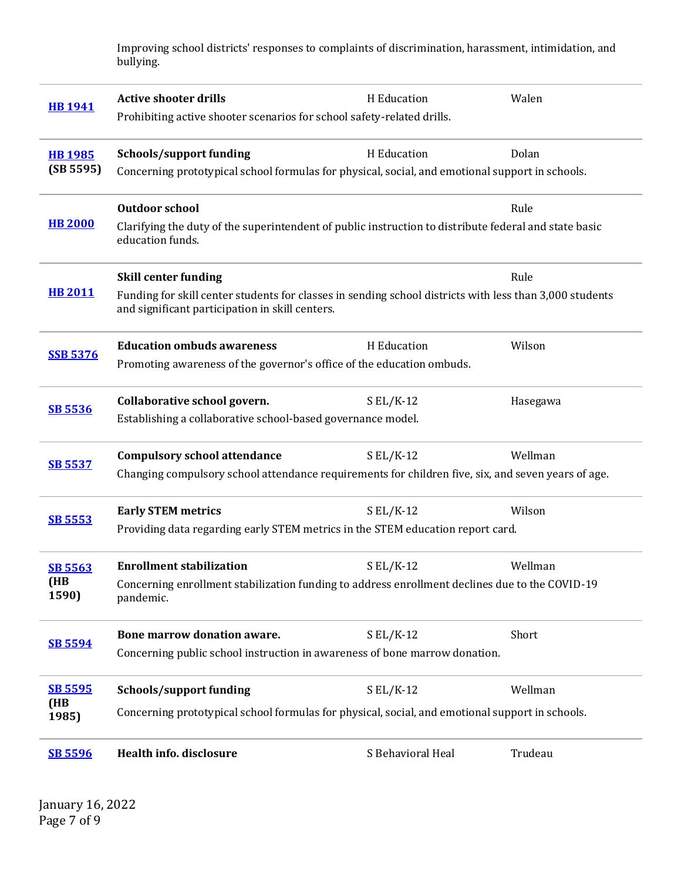Improving school districts' responses to complaints of discrimination, harassment, intimidation, and bullying.

| <b>HB1941</b>                  | <b>Active shooter drills</b><br>Prohibiting active shooter scenarios for school safety-related drills.                                                     | H Education       | Walen    |  |
|--------------------------------|------------------------------------------------------------------------------------------------------------------------------------------------------------|-------------------|----------|--|
| <b>HB 1985</b><br>(SB 5595)    | <b>Schools/support funding</b>                                                                                                                             | H Education       | Dolan    |  |
|                                | Concerning prototypical school formulas for physical, social, and emotional support in schools.                                                            |                   |          |  |
|                                | <b>Outdoor school</b>                                                                                                                                      |                   | Rule     |  |
| <b>HB 2000</b>                 | Clarifying the duty of the superintendent of public instruction to distribute federal and state basic<br>education funds.                                  |                   |          |  |
|                                | <b>Skill center funding</b>                                                                                                                                |                   | Rule     |  |
| <b>HB 2011</b>                 | Funding for skill center students for classes in sending school districts with less than 3,000 students<br>and significant participation in skill centers. |                   |          |  |
| <b>SSB 5376</b>                | <b>Education ombuds awareness</b>                                                                                                                          | H Education       | Wilson   |  |
|                                | Promoting awareness of the governor's office of the education ombuds.                                                                                      |                   |          |  |
|                                | Collaborative school govern.                                                                                                                               | $S EL/K-12$       | Hasegawa |  |
| <b>SB 5536</b>                 | Establishing a collaborative school-based governance model.                                                                                                |                   |          |  |
|                                | <b>Compulsory school attendance</b>                                                                                                                        | $S EL/K-12$       | Wellman  |  |
| <b>SB 5537</b>                 | Changing compulsory school attendance requirements for children five, six, and seven years of age.                                                         |                   |          |  |
|                                | <b>Early STEM metrics</b>                                                                                                                                  | $SL/K-12$         | Wilson   |  |
| <b>SB 5553</b>                 | Providing data regarding early STEM metrics in the STEM education report card.                                                                             |                   |          |  |
| <b>SB 5563</b><br>(HB<br>1590) | <b>Enrollment stabilization</b>                                                                                                                            | $SL/K-12$         | Wellman  |  |
|                                | Concerning enrollment stabilization funding to address enrollment declines due to the COVID-19<br>pandemic.                                                |                   |          |  |
| <b>SB 5594</b>                 | Bone marrow donation aware.                                                                                                                                | $S EL/K-12$       | Short    |  |
|                                | Concerning public school instruction in awareness of bone marrow donation.                                                                                 |                   |          |  |
| <b>SB 5595</b><br>(HB<br>1985) | <b>Schools/support funding</b>                                                                                                                             | $SL/K-12$         | Wellman  |  |
|                                | Concerning prototypical school formulas for physical, social, and emotional support in schools.                                                            |                   |          |  |
| <b>SB 5596</b>                 | Health info. disclosure                                                                                                                                    | S Behavioral Heal | Trudeau  |  |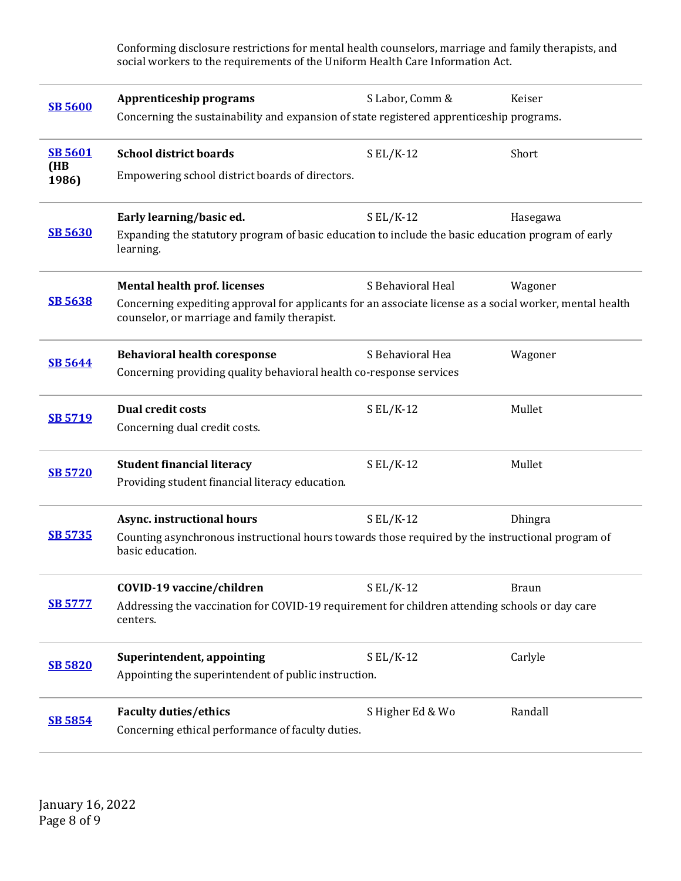Conforming disclosure restrictions for mental health counselors, marriage and family therapists, and social workers to the requirements of the Uniform Health Care Information Act.

| <b>SB 5600</b> | <b>Apprenticeship programs</b><br>Concerning the sustainability and expansion of state registered apprenticeship programs.                               | S Labor, Comm &   | Keiser         |  |
|----------------|----------------------------------------------------------------------------------------------------------------------------------------------------------|-------------------|----------------|--|
| <b>SB 5601</b> | <b>School district boards</b>                                                                                                                            | $S EL/K-12$       | Short          |  |
| (HB<br>1986)   | Empowering school district boards of directors.                                                                                                          |                   |                |  |
|                | Early learning/basic ed.                                                                                                                                 | $S EL/K-12$       | Hasegawa       |  |
| <b>SB 5630</b> | Expanding the statutory program of basic education to include the basic education program of early<br>learning.                                          |                   |                |  |
|                | <b>Mental health prof. licenses</b>                                                                                                                      | S Behavioral Heal | Wagoner        |  |
| <b>SB 5638</b> | Concerning expediting approval for applicants for an associate license as a social worker, mental health<br>counselor, or marriage and family therapist. |                   |                |  |
| <b>SB 5644</b> | <b>Behavioral health coresponse</b>                                                                                                                      | S Behavioral Hea  | Wagoner        |  |
|                | Concerning providing quality behavioral health co-response services                                                                                      |                   |                |  |
| <b>SB 5719</b> | <b>Dual credit costs</b>                                                                                                                                 | $SL/K-12$         | Mullet         |  |
|                | Concerning dual credit costs.                                                                                                                            |                   |                |  |
| <b>SB 5720</b> | <b>Student financial literacy</b>                                                                                                                        | $S EL/K-12$       | Mullet         |  |
|                | Providing student financial literacy education.                                                                                                          |                   |                |  |
| <b>SB 5735</b> | Async. instructional hours                                                                                                                               | $SL/K-12$         | <b>Dhingra</b> |  |
|                | Counting asynchronous instructional hours towards those required by the instructional program of<br>basic education.                                     |                   |                |  |
| <b>SB 5777</b> | COVID-19 vaccine/children                                                                                                                                | $S EL/K-12$       | <b>Braun</b>   |  |
|                | Addressing the vaccination for COVID-19 requirement for children attending schools or day care<br>centers.                                               |                   |                |  |
| <b>SB 5820</b> | Superintendent, appointing                                                                                                                               | $SL/K-12$         | Carlyle        |  |
|                | Appointing the superintendent of public instruction.                                                                                                     |                   |                |  |
| <b>SB 5854</b> | <b>Faculty duties/ethics</b>                                                                                                                             | S Higher Ed & Wo  | Randall        |  |
|                | Concerning ethical performance of faculty duties.                                                                                                        |                   |                |  |